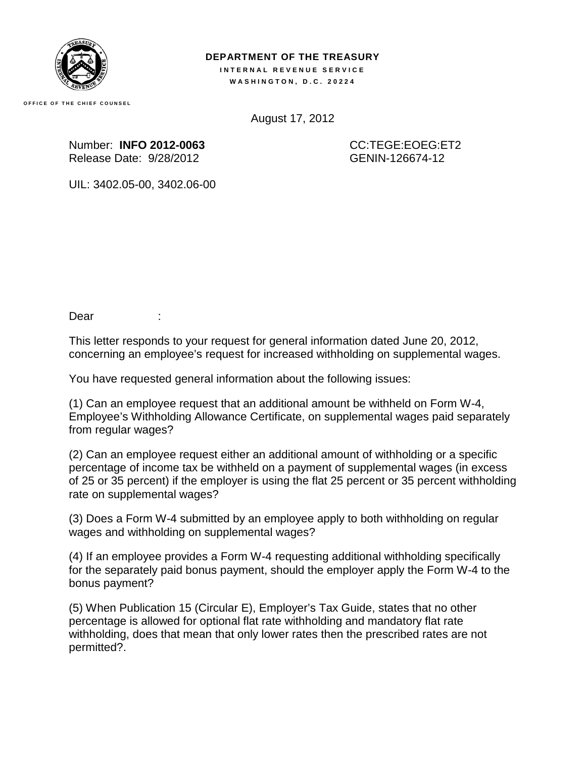

## **DEPARTMENT OF THE TREASURY INTERNAL REVENUE SERVICE**

**WASHINGTON, D.C. 20224** 

**OFFICE OF THE CHIEF COUNSEL**

August 17, 2012

Number: **INFO 2012-0063**  Release Date: 9/28/2012

CC:TEGE:EOEG:ET2 GENIN-126674-12

UIL: 3402.05-00, 3402.06-00

Dear :

This letter responds to your request for general information dated June 20, 2012, concerning an employee's request for increased withholding on supplemental wages.

You have requested general information about the following issues:

(1) Can an employee request that an additional amount be withheld on Form W-4, Employee's Withholding Allowance Certificate, on supplemental wages paid separately from regular wages?

(2) Can an employee request either an additional amount of withholding or a specific percentage of income tax be withheld on a payment of supplemental wages (in excess of 25 or 35 percent) if the employer is using the flat 25 percent or 35 percent withholding rate on supplemental wages?

(3) Does a Form W-4 submitted by an employee apply to both withholding on regular wages and withholding on supplemental wages?

(4) If an employee provides a Form W-4 requesting additional withholding specifically for the separately paid bonus payment, should the employer apply the Form W-4 to the bonus payment?

(5) When Publication 15 (Circular E), Employer's Tax Guide, states that no other percentage is allowed for optional flat rate withholding and mandatory flat rate withholding, does that mean that only lower rates then the prescribed rates are not permitted?.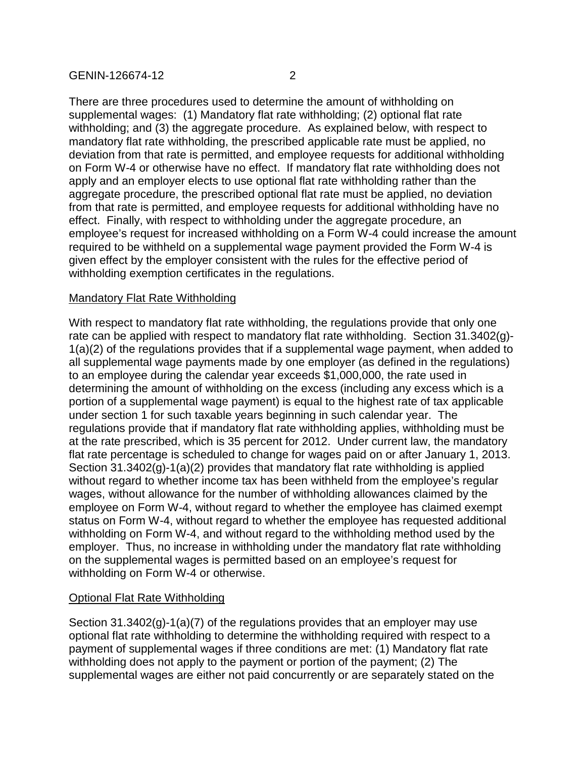There are three procedures used to determine the amount of withholding on supplemental wages: (1) Mandatory flat rate withholding; (2) optional flat rate withholding; and (3) the aggregate procedure. As explained below, with respect to mandatory flat rate withholding, the prescribed applicable rate must be applied, no deviation from that rate is permitted, and employee requests for additional withholding on Form W-4 or otherwise have no effect. If mandatory flat rate withholding does not apply and an employer elects to use optional flat rate withholding rather than the aggregate procedure, the prescribed optional flat rate must be applied, no deviation from that rate is permitted, and employee requests for additional withholding have no effect. Finally, with respect to withholding under the aggregate procedure, an employee's request for increased withholding on a Form W-4 could increase the amount required to be withheld on a supplemental wage payment provided the Form W-4 is given effect by the employer consistent with the rules for the effective period of withholding exemption certificates in the regulations.

## Mandatory Flat Rate Withholding

With respect to mandatory flat rate withholding, the regulations provide that only one rate can be applied with respect to mandatory flat rate withholding. Section 31.3402(g)- 1(a)(2) of the regulations provides that if a supplemental wage payment, when added to all supplemental wage payments made by one employer (as defined in the regulations) to an employee during the calendar year exceeds \$1,000,000, the rate used in determining the amount of withholding on the excess (including any excess which is a portion of a supplemental wage payment) is equal to the highest rate of tax applicable under section 1 for such taxable years beginning in such calendar year. The regulations provide that if mandatory flat rate withholding applies, withholding must be at the rate prescribed, which is 35 percent for 2012. Under current law, the mandatory flat rate percentage is scheduled to change for wages paid on or after January 1, 2013. Section 31.3402(g)-1(a)(2) provides that mandatory flat rate withholding is applied without regard to whether income tax has been withheld from the employee's regular wages, without allowance for the number of withholding allowances claimed by the employee on Form W-4, without regard to whether the employee has claimed exempt status on Form W-4, without regard to whether the employee has requested additional withholding on Form W-4, and without regard to the withholding method used by the employer. Thus, no increase in withholding under the mandatory flat rate withholding on the supplemental wages is permitted based on an employee's request for withholding on Form W-4 or otherwise.

## Optional Flat Rate Withholding

Section 31.3402(g)-1(a)(7) of the regulations provides that an employer may use optional flat rate withholding to determine the withholding required with respect to a payment of supplemental wages if three conditions are met: (1) Mandatory flat rate withholding does not apply to the payment or portion of the payment; (2) The supplemental wages are either not paid concurrently or are separately stated on the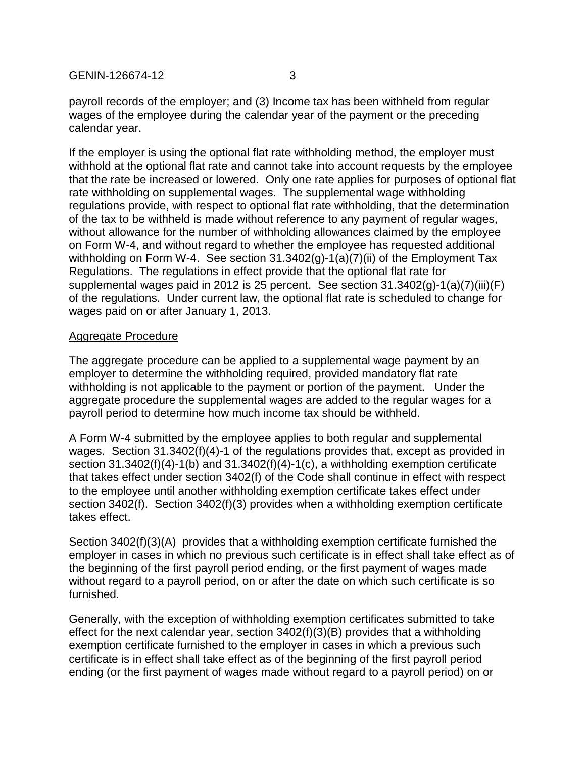GENIN-126674-12 3

payroll records of the employer; and (3) Income tax has been withheld from regular wages of the employee during the calendar year of the payment or the preceding calendar year.

If the employer is using the optional flat rate withholding method, the employer must withhold at the optional flat rate and cannot take into account requests by the employee that the rate be increased or lowered. Only one rate applies for purposes of optional flat rate withholding on supplemental wages. The supplemental wage withholding regulations provide, with respect to optional flat rate withholding, that the determination of the tax to be withheld is made without reference to any payment of regular wages, without allowance for the number of withholding allowances claimed by the employee on Form W-4, and without regard to whether the employee has requested additional withholding on Form W-4. See section 31.3402(g)-1(a)(7)(ii) of the Employment Tax Regulations. The regulations in effect provide that the optional flat rate for supplemental wages paid in 2012 is 25 percent. See section 31.3402(g)-1(a)(7)(iii)(F) of the regulations. Under current law, the optional flat rate is scheduled to change for wages paid on or after January 1, 2013.

## Aggregate Procedure

The aggregate procedure can be applied to a supplemental wage payment by an employer to determine the withholding required, provided mandatory flat rate withholding is not applicable to the payment or portion of the payment. Under the aggregate procedure the supplemental wages are added to the regular wages for a payroll period to determine how much income tax should be withheld.

A Form W-4 submitted by the employee applies to both regular and supplemental wages. Section 31.3402(f)(4)-1 of the regulations provides that, except as provided in section 31.3402(f)(4)-1(b) and 31.3402(f)(4)-1(c), a withholding exemption certificate that takes effect under section 3402(f) of the Code shall continue in effect with respect to the employee until another withholding exemption certificate takes effect under section 3402(f). Section 3402(f)(3) provides when a withholding exemption certificate takes effect.

Section 3402(f)(3)(A) provides that a withholding exemption certificate furnished the employer in cases in which no previous such certificate is in effect shall take effect as of the beginning of the first payroll period ending, or the first payment of wages made without regard to a payroll period, on or after the date on which such certificate is so furnished.

Generally, with the exception of withholding exemption certificates submitted to take effect for the next calendar year, section 3402(f)(3)(B) provides that a withholding exemption certificate furnished to the employer in cases in which a previous such certificate is in effect shall take effect as of the beginning of the first payroll period ending (or the first payment of wages made without regard to a payroll period) on or